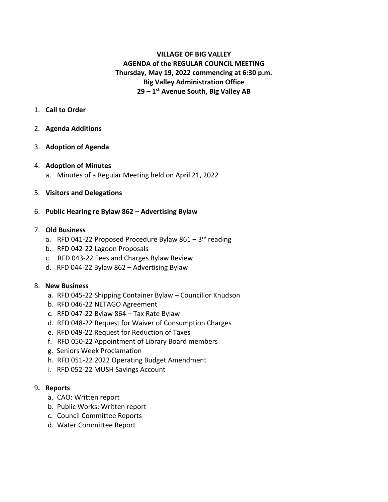# **VILLAGE OF BIG VALLEY AGENDA of the REGULAR COUNCIL MEETING Thursday, May 19, 2022 commencing at 6:30 p.m. Big Valley Administration Office 29 – 1 st Avenue South, Big Valley AB**

# 1. **Call to Order**

# 2. **Agenda Additions**

# 3. **Adoption of Agenda**

#### 4. **Adoption of Minutes**

a. Minutes of a Regular Meeting held on April 21, 2022

# 5. **Visitors and Delegations**

# 6. **Public Hearing re Bylaw 862 – Advertising Bylaw**

#### 7. **Old Business**

- a. RFD 041-22 Proposed Procedure Bylaw 861 3<sup>rd</sup> reading
- b. RFD 042-22 Lagoon Proposals
- c. RFD 043-22 Fees and Charges Bylaw Review
- d. RFD 044-22 Bylaw 862 Advertising Bylaw

#### 8. **New Business**

- a. RFD 045-22 Shipping Container Bylaw Councillor Knudson
- b. RFD 046-22 NETAGO Agreement
- c. RFD 047-22 Bylaw 864 Tax Rate Bylaw
- d. RFD 048-22 Request for Waiver of Consumption Charges
- e. RFD 049-22 Request for Reduction of Taxes
- f. RFD 050-22 Appointment of Library Board members
- g. Seniors Week Proclamation
- h. RFD 051-22 2022 Operating Budget Amendment
- i. RFD 052-22 MUSH Savings Account

#### 9**. Reports**

- a. CAO: Written report
- b. Public Works: Written report
- c. Council Committee Reports
- d. Water Committee Report